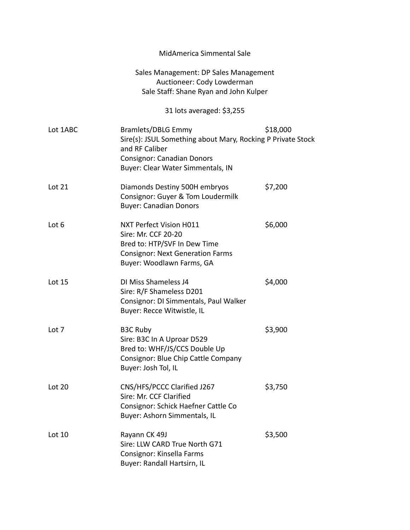|               | MidAmerica Simmental Sale<br>Sales Management: DP Sales Management<br>Auctioneer: Cody Lowderman<br>Sale Staff: Shane Ryan and John Kulper                                    |          |  |
|---------------|-------------------------------------------------------------------------------------------------------------------------------------------------------------------------------|----------|--|
|               |                                                                                                                                                                               |          |  |
|               | 31 lots averaged: \$3,255                                                                                                                                                     |          |  |
| Lot 1ABC      | Bramlets/DBLG Emmy<br>Sire(s): JSUL Something about Mary, Rocking P Private Stock<br>and RF Caliber<br><b>Consignor: Canadian Donors</b><br>Buyer: Clear Water Simmentals, IN | \$18,000 |  |
| <b>Lot 21</b> | Diamonds Destiny 500H embryos<br>Consignor: Guyer & Tom Loudermilk<br><b>Buyer: Canadian Donors</b>                                                                           | \$7,200  |  |
| Lot 6         | NXT Perfect Vision H011<br>Sire: Mr. CCF 20-20<br>Bred to: HTP/SVF In Dew Time<br><b>Consignor: Next Generation Farms</b><br>Buyer: Woodlawn Farms, GA                        | \$6,000  |  |
| Lot 15        | DI Miss Shameless J4<br>Sire: R/F Shameless D201<br>Consignor: DI Simmentals, Paul Walker<br>Buyer: Recce Witwistle, IL                                                       | \$4,000  |  |
| Lot 7         | <b>B3C Ruby</b><br>Sire: B3C In A Uproar D529<br>Bred to: WHF/JS/CCS Double Up<br>Consignor: Blue Chip Cattle Company<br>Buyer: Josh Tol, IL                                  | \$3,900  |  |
| Lot 20        | CNS/HFS/PCCC Clarified J267<br>Sire: Mr. CCF Clarified<br>Consignor: Schick Haefner Cattle Co<br>Buyer: Ashorn Simmentals, IL                                                 | \$3,750  |  |
| Lot 10        | Rayann CK 49J<br>Sire: LLW CARD True North G71<br>Consignor: Kinsella Farms<br>Buyer: Randall Hartsirn, IL                                                                    | \$3,500  |  |